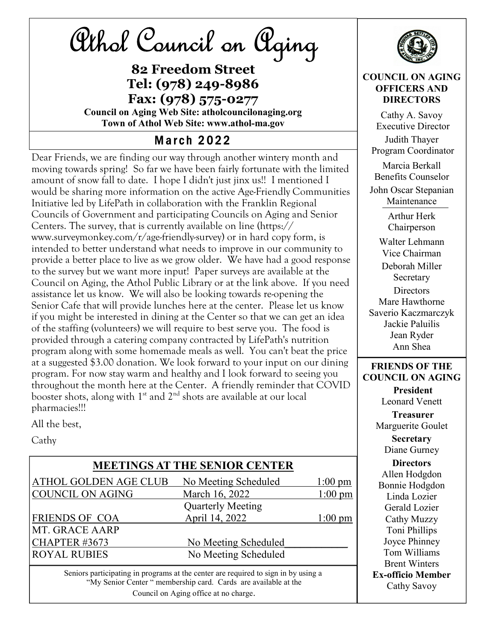

82 Freedom Street Tel: (978) 249-8986 Fax: (978) 575-0277 Council on Aging Web Site: atholcouncilonaging.org

Town of Athol Web Site: www.athol-ma.gov

## **March 2022**

Dear Friends, we are finding our way through another wintery month and moving towards spring! So far we have been fairly fortunate with the limited amount of snow fall to date. I hope I didn't just jinx us!! I mentioned I would be sharing more information on the active Age-Friendly Communities Initiative led by LifePath in collaboration with the Franklin Regional Councils of Government and participating Councils on Aging and Senior Centers. The survey, that is currently available on line (https:// www.surveymonkey.com/r/age-friendly-survey) or in hard copy form, is intended to better understand what needs to improve in our community to provide a better place to live as we grow older. We have had a good response to the survey but we want more input! Paper surveys are available at the Council on Aging, the Athol Public Library or at the link above. If you need assistance let us know. We will also be looking towards re-opening the Senior Cafe that will provide lunches here at the center. Please let us know if you might be interested in dining at the Center so that we can get an idea of the staffing (volunteers) we will require to best serve you. The food is provided through a catering company contracted by LifePath's nutrition program along with some homemade meals as well. You can't beat the price at a suggested \$3.00 donation. We look forward to your input on our dining program. For now stay warm and healthy and I look forward to seeing you throughout the month here at the Center. A friendly reminder that COVID booster shots, along with  $1<sup>st</sup>$  and  $2<sup>nd</sup>$  shots are available at our local pharmacies!!!

All the best,

Cathy

#### MEETINGS AT THE SENIOR CENTER

| ATHOL GOLDEN AGE CLUB   | No Meeting Scheduled     | $1:00 \text{ pm}$ |
|-------------------------|--------------------------|-------------------|
| <b>COUNCIL ON AGING</b> | March 16, 2022           | $1:00 \text{ pm}$ |
|                         | <b>Quarterly Meeting</b> |                   |
| <b>FRIENDS OF COA</b>   | April 14, 2022           | $1:00 \text{ pm}$ |
| MT. GRACE AARP          |                          |                   |
| CHAPTER #3673           | No Meeting Scheduled     |                   |
| <b>ROYAL RUBIES</b>     | No Meeting Scheduled     |                   |

Seniors participating in programs at the center are required to sign in by using a "My Senior Center " membership card. Cards are available at the Council on Aging office at no charge.



#### COUNCIL ON AGING OFFICERS AND **DIRECTORS**

Cathy A. Savoy Executive Director Judith Thayer Program Coordinator Marcia Berkall Benefits Counselor

John Oscar Stepanian Maintenance

> Arthur Herk Chairperson

Walter Lehmann Vice Chairman Deborah Miller Secretary **Directors** Mare Hawthorne Saverio Kaczmarczyk Jackie Paluilis Jean Ryder Ann Shea

#### FRIENDS OF THE COUNCIL ON AGING

President Leonard Venett **Treasurer** Marguerite Goulet **Secretary** Diane Gurney **Directors** Allen Hodgdon Bonnie Hodgdon Linda Lozier Gerald Lozier Cathy Muzzy Toni Phillips

Joyce Phinney

Tom Williams Brent Winters

Ex-officio Member Cathy Savoy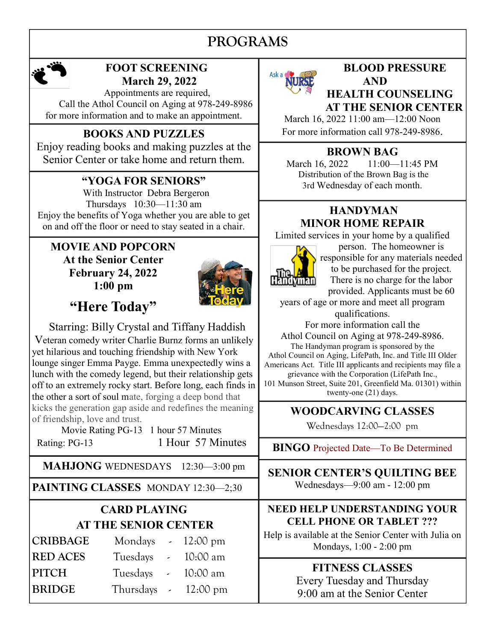# PROGRAMS



#### FOOT SCREENING March 29, 2022

 Appointments are required, Call the Athol Council on Aging at 978-249-8986 for more information and to make an appointment.

Enjoy reading books and making puzzles at the Senior Center or take home and return them.

### "YOGA FOR SENIORS"

 With Instructor Debra Bergeron Thursdays 10:30—11:30 am Enjoy the benefits of Yoga whether you are able to get on and off the floor or need to stay seated in a chair.

#### MOVIE AND POPCORN At the Senior Center February 24, 2022 1:00 pm



"Here Today"

 Starring: Billy Crystal and Tiffany Haddish Veteran comedy writer Charlie Burnz forms an unlikely yet hilarious and touching friendship with New York lounge singer Emma Payge. Emma unexpectedly wins a lunch with the comedy legend, but their relationship gets off to an extremely rocky start. Before long, each finds in the other a sort of soul mate, forging a deep bond that kicks the generation gap aside and redefines the meaning of friendship, love and trust.

Movie Rating PG-13 1 hour 57 Minutes Rating: PG-13 1 Hour 57 Minutes

MAHJONG WEDNESDAYS 12:30—3:00 pm

PAINTING CLASSES MONDAY 12:30-2;30

## CARD PLAYING AT THE SENIOR CENTER

| <b>CRIBBAGE</b> | Mondays $\sim 12:00 \text{ pm}$ |          |
|-----------------|---------------------------------|----------|
| <b>RED ACES</b> | Tuesdays - 10:00 am             |          |
| PITCH           | Tuesdays -                      | 10:00 am |
| <b>BRIDGE</b>   | Thursdays $-12:00 \text{ pm}$   |          |



#### BLOOD PRESSURE AND HEALTH COUNSELING AT THE SENIOR CENTER

March 16, 2022 11:00 am—12:00 Noon BOOKS AND PUZZLES For more information call 978-249-8986.

## BROWN BAG

March 16, 2022 11:00 - 11:45 PM Distribution of the Brown Bag is the 3rd Wednesday of each month.

#### HANDYMAN MINOR HOME REPAIR

Limited services in your home by a qualified



person. The homeowner is responsible for any materials needed to be purchased for the project. There is no charge for the labor provided. Applicants must be 60

years of age or more and meet all program qualifications.

For more information call the

Athol Council on Aging at 978-249-8986. The Handyman program is sponsored by the Athol Council on Aging, LifePath, Inc. and Title III Older Americans Act. Title III applicants and recipients may file a grievance with the Corporation (LifePath Inc., 101 Munson Street, Suite 201, Greenfield Ma. 01301) within twenty-one (21) days.

## WOODCARVING CLASSES

Wednesdays 12:00—2:00 pm

BINGO Projected Date—To Be Determined

SENIOR CENTER'S QUILTING BEE Wednesdays—9:00 am - 12:00 pm

#### NEED HELP UNDERSTANDING YOUR CELL PHONE OR TABLET ???

Help is available at the Senior Center with Julia on Mondays, 1:00 - 2:00 pm

## FITNESS CLASSES Every Tuesday and Thursday

9:00 am at the Senior Center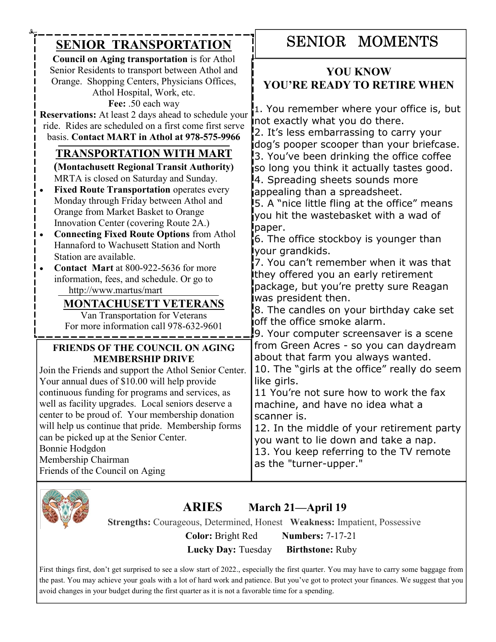| <b>SENIOR TRANSPORTATION</b>                                                                                                                                                                                                                                                                                                                                                                                                                                                                                                                                                                                                                                         | <b>SENIOR MOMENTS</b>                                                                                                                                                                                                                                                                                                                                                                                                                                                                                                                                                                                                                                                                                                                                                                                                         |  |
|----------------------------------------------------------------------------------------------------------------------------------------------------------------------------------------------------------------------------------------------------------------------------------------------------------------------------------------------------------------------------------------------------------------------------------------------------------------------------------------------------------------------------------------------------------------------------------------------------------------------------------------------------------------------|-------------------------------------------------------------------------------------------------------------------------------------------------------------------------------------------------------------------------------------------------------------------------------------------------------------------------------------------------------------------------------------------------------------------------------------------------------------------------------------------------------------------------------------------------------------------------------------------------------------------------------------------------------------------------------------------------------------------------------------------------------------------------------------------------------------------------------|--|
| <b>Council on Aging transportation</b> is for Athol<br>Senior Residents to transport between Athol and<br>Orange. Shopping Centers, Physicians Offices,<br>Athol Hospital, Work, etc.<br>Fee: .50 each way<br>Reservations: At least 2 days ahead to schedule your<br>ride. Rides are scheduled on a first come first serve<br>basis. Contact MART in Athol at 978-575-9966                                                                                                                                                                                                                                                                                          | <b>YOU KNOW</b><br>YOU'RE READY TO RETIRE WHEN<br>1. You remember where your office is, but<br>not exactly what you do there.<br>2. It's less embarrassing to carry your<br>dog's pooper scooper than your briefcase.<br>3. You've been drinking the office coffee<br>so long you think it actually tastes good.<br>4. Spreading sheets sounds more<br>appealing than a spreadsheet.<br>5. A "nice little fling at the office" means<br>you hit the wastebasket with a wad of<br>paper.<br>6. The office stockboy is younger than<br>your grandkids.<br>7. You can't remember when it was that<br>they offered you an early retirement<br>package, but you're pretty sure Reagan<br>was president then.<br>8. The candles on your birthday cake set<br>off the office smoke alarm.<br>9. Your computer screensaver is a scene |  |
| <b>TRANSPORTATION WITH MART</b><br>(Montachusett Regional Transit Authority)<br>MRTA is closed on Saturday and Sunday.<br><b>Fixed Route Transportation operates every</b><br>Monday through Friday between Athol and<br>Orange from Market Basket to Orange<br>Innovation Center (covering Route 2A.)<br><b>Connecting Fixed Route Options from Athol</b><br>Hannaford to Wachusett Station and North<br>Station are available.<br><b>Contact Mart</b> at 800-922-5636 for more<br>information, fees, and schedule. Or go to<br>http://www.martus/mart<br><b>MONTACHUSETT VETERANS</b><br>Van Transportation for Veterans<br>For more information call 978-632-9601 |                                                                                                                                                                                                                                                                                                                                                                                                                                                                                                                                                                                                                                                                                                                                                                                                                               |  |
| <b>FRIENDS OF THE COUNCIL ON AGING</b><br><b>MEMBERSHIP DRIVE</b><br>Join the Friends and support the Athol Senior Center.<br>Your annual dues of \$10.00 will help provide<br>continuous funding for programs and services, as<br>well as facility upgrades. Local seniors deserve a<br>center to be proud of. Your membership donation<br>will help us continue that pride. Membership forms<br>can be picked up at the Senior Center.<br>Bonnie Hodgdon<br>Membership Chairman<br>Friends of the Council on Aging                                                                                                                                                 | from Green Acres - so you can daydream<br>about that farm you always wanted.<br>10. The "girls at the office" really do seem<br>like girls.<br>11 You're not sure how to work the fax<br>machine, and have no idea what a<br>scanner is.<br>12. In the middle of your retirement party<br>you want to lie down and take a nap.<br>13. You keep referring to the TV remote<br>as the "turner-upper."                                                                                                                                                                                                                                                                                                                                                                                                                           |  |



## ARIES March 21—April 19

Strengths: Courageous, Determined, Honest Weakness: Impatient, Possessive

 Color: Bright Red Numbers: 7-17-21 Lucky Day: Tuesday Birthstone: Ruby

First things first, don't get surprised to see a slow start of 2022., especially the first quarter. You may have to carry some baggage from the past. You may achieve your goals with a lot of hard work and patience. But you've got to protect your finances. We suggest that you avoid changes in your budget during the first quarter as it is not a favorable time for a spending.